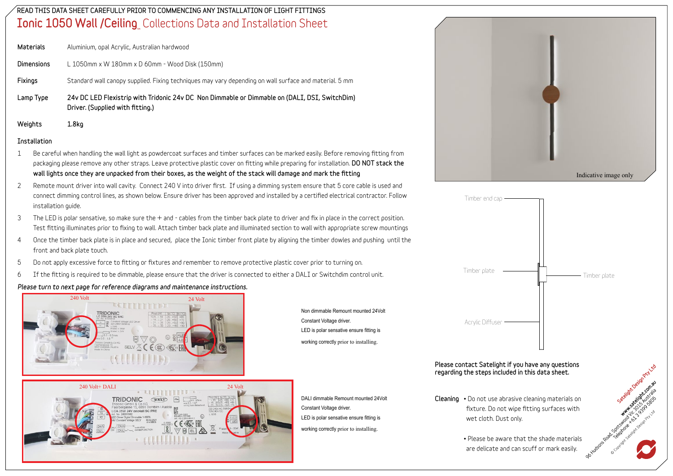### READ THIS DATA SHEET CAREFULLY PRIOR TO COMMENCING ANY INSTALLATION OF LIGHT FITTINGS  $\mathop{\mathsf{Ionic}}\nolimits$   $\mathop{\mathsf{1050}}\nolimits$  Wall /Ceiling $_{\scriptscriptstyle\rm m}$  Collections Data and Installation Sheet

Materials **Aluminium, opal Acrylic, Australian hardwood**

Dimensions **L 1050mm x W 180mm x D 60mm - Wood Disk (150mm)**

Fixings **Standard wall canopy supplied. Fixing techniques may vary depending on wall surface and material. 5 mm**

Lamp Type 24v DC LED Flexistrip with Tridonic 24v DC Non Dimmable or Dimmable on (DALI, DSI, SwitchDim) Driver. (Supplied with fitting.)

Weights 1.8kg

#### Installation

- 1 Be careful when handling the wall light as powdercoat surfaces and timber surfaces can be marked easily. Before removing fitting from packaging please remove any other straps. Leave protective plastic cover on fitting while preparing for installation. DO NOT stack the wall lights once they are unpacked from their boxes, as the weight of the stack will damage and mark the fitting
- 2 Remote mount driver into wall cavity. Connect 240 V into driver first. If using a dimming system ensure that 5 core cable is used and connect dimming control lines, as shown below. Ensure driver has been approved and installed by a certified electrical contractor. Follow **installation guide.**
- 3 The LED is polar sensative, so make sure the + and cables from the timber back plate to driver and fix in place in the correct position. Test fitting illuminates prior to fixing to wall. Attach timber back plate and illuminated section to wall with appropriate screw mountings
- **4 Once the timber back plate is in place and secured, place the Ionic timber front plate by aligning the timber dowles and pushing until the front and back plate touch.**
- 5 Do not apply excessive force to fitting or fixtures and remember to remove protective plastic cover prior to turning on.
- 6 If the fitting is required to be dimmable, please ensure that the driver is connected to either a DALI or Switchdim control unit.

#### *Please turn to next page for reference diagrams and maintenance instructions.*





Non dimmable Remount mounted 24Volt Constant Voltage driver. LED is polar sensative ensure fitting is working correctly prior to installing.

DALI dimmable Remount mounted 24Volt Constant Voltage driver. LED is polar sensative ensure fitting is working correctly prior to installing.





#### Please contact Satelight if you have any questions regarding the steps included in this data sheet.

- Cleaning **• Do not use abrasive cleaning materials on fixture. Do not wipe fitting surfaces with wet cloth. Dust only.**
	- **• Please be aware that the shade materials are delicate and can scuff or mark easily.**

stellon Maria Railway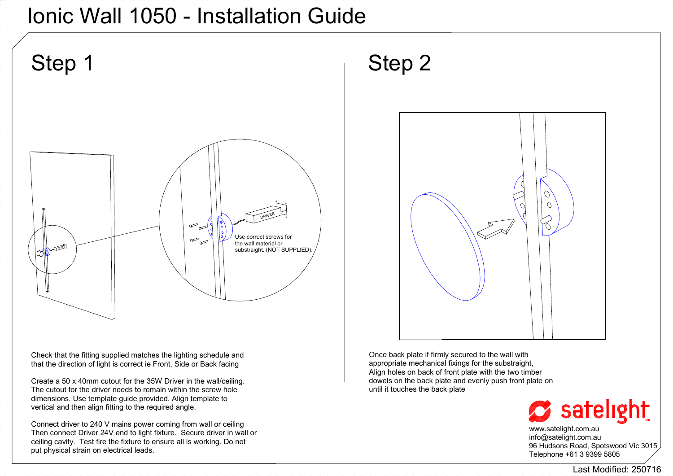## Ionic Wall 1050 - Installation Guide



Check that the fitting supplied matches the lighting schedule and that the direction of light is correct ie Front, Side or Back facing

Create a 50 x 40mm cutout for the 35W Driver in the wall/ceiling. The cutout for the driver needs to remain within the screw hole dimensions. Use template guide provided. Align template to vertical and then align fitting to the required angle.

Connect driver to 240 V mains power coming from wall or ceiling Then connect Driver 24V end to light fixture. Secure driver in wall or ceiling cavity. Test fire the fixture to ensure all is working. Do not put physical strain on electrical leads.

Once back plate if firmly secured to the wall with appropriate mechanical fixings for the substraight, Align holes on back of front plate with the two timber dowels on the back plate and evenly push front plate on until it touches the back plate



www.satelight.com.au info@satelight.com.au 96 Hudsons Road, Spotswood Vic 3015 Telephone +61 3 9399 5805

Last Modified: 250716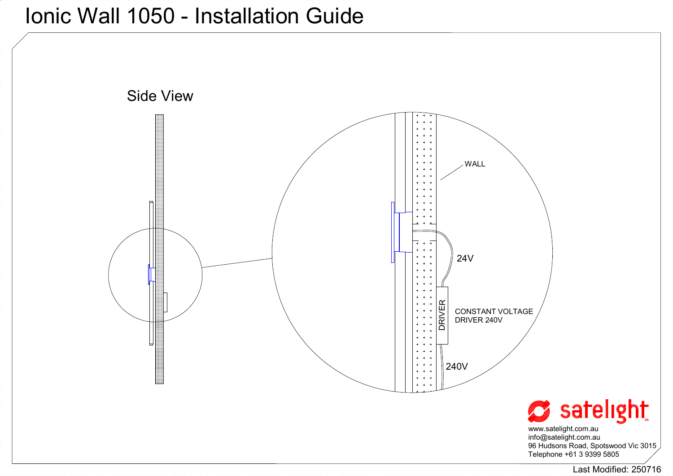## Ionic Wall 1050 - Installation Guide



Last Modified: 250716